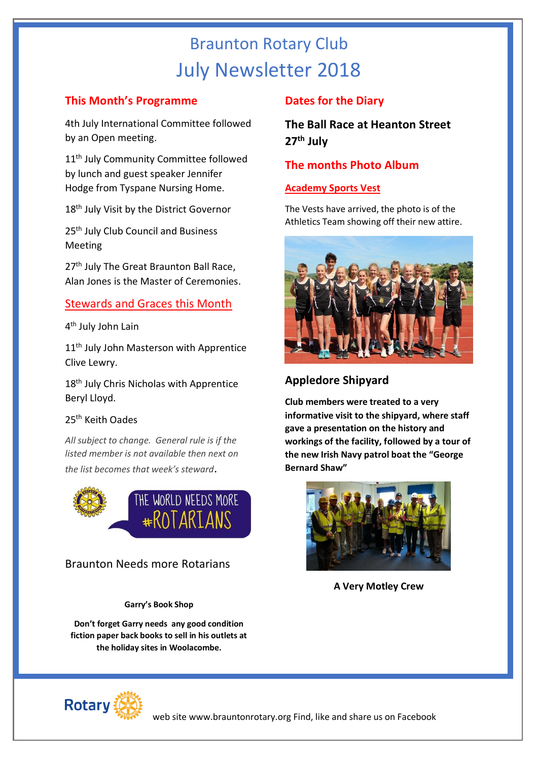# Braunton Rotary Club July Newsletter 2018

#### **This Month's Programme**

4th July International Committee followed by an Open meeting.

11<sup>th</sup> July Community Committee followed by lunch and guest speaker Jennifer Hodge from Tyspane Nursing Home.

18<sup>th</sup> July Visit by the District Governor

25<sup>th</sup> July Club Council and Business Meeting

27<sup>th</sup> July The Great Braunton Ball Race, Alan Jones is the Master of Ceremonies.

### Stewards and Graces this Month

4<sup>th</sup> July John Lain

11<sup>th</sup> July John Masterson with Apprentice Clive Lewry.

18<sup>th</sup> July Chris Nicholas with Apprentice Beryl Lloyd.

#### 25th Keith Oades

*All subject to change. General rule is if the listed member is not available then next on the list becomes that week's steward*.



## Braunton Needs more Rotarians

**Garry's Book Shop**

**Don't forget Garry needs any good condition fiction paper back books to sell in his outlets at the holiday sites in Woolacombe.**

# **Dates for the Diary**

**The Ball Race at Heanton Street 27th July**

### **The months Photo Album**

#### **Academy Sports Vest**

The Vests have arrived, the photo is of the Athletics Team showing off their new attire.



# **Appledore Shipyard**

**Club members were treated to a very informative visit to the shipyard, where staff gave a presentation on the history and workings of the facility, followed by a tour of the new Irish Navy patrol boat the "George Bernard Shaw"**



**A Very Motley Crew**